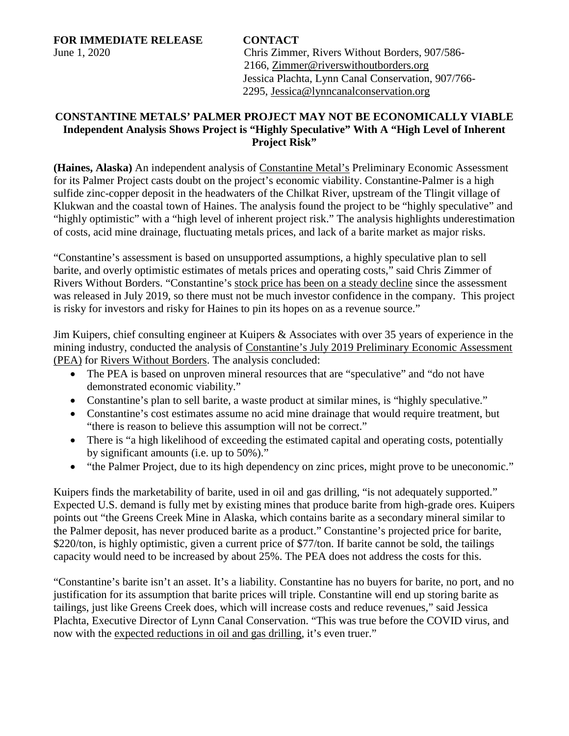**FOR IMMEDIATE RELEASE CONTACT**

June 1, 2020 Chris Zimmer, Rivers Without Borders, 907/586- 2166, [Zimmer@riverswithoutborders.org](mailto:Zimmer@riverswithoutborders.org) Jessica Plachta, Lynn Canal Conservation, 907/766- 2295, [Jessica@lynncanalconservation.org](mailto:Jessica@lynncanalconservation.org) 

## **CONSTANTINE METALS' PALMER PROJECT MAY NOT BE ECONOMICALLY VIABLE Independent Analysis Shows Project is "Highly Speculative" With A "High Level of Inherent Project Risk"**

**(Haines, Alaska)** An independent analysis of [Constantine Metal's](https://www.constantinemetals.com/) Preliminary Economic Assessment for its Palmer Project casts doubt on the project's economic viability. Constantine-Palmer is a high sulfide zinc-copper deposit in the headwaters of the Chilkat River, upstream of the Tlingit village of Klukwan and the coastal town of Haines. The analysis found the project to be "highly speculative" and "highly optimistic" with a "high level of inherent project risk." The analysis highlights underestimation of costs, acid mine drainage, fluctuating metals prices, and lack of a barite market as major risks.

"Constantine's assessment is based on unsupported assumptions, a highly speculative plan to sell barite, and overly optimistic estimates of metals prices and operating costs," said Chris Zimmer of Rivers Without Borders. "Constantine's [stock price has been on a steady decline](https://tmxmatrix.com/company/CEM) since the assessment was released in July 2019, so there must not be much investor confidence in the company. This project is risky for investors and risky for Haines to pin its hopes on as a revenue source."

Jim Kuipers, chief consulting engineer at Kuipers & Associates with over 35 years of experience in the mining industry, conducted the analysis of [Constantine's July 2019 Preliminary Economic Assessment](https://constantinemetals.com/news/2019/constantine-files-ni43-101-report-for-preliminary-economic-assessment-on-palmer-project-southeast-alaska/) (PEA) for [Rivers Without Borders.](https://riverswithoutborders.org/) The analysis concluded:

- The PEA is based on unproven mineral resources that are "speculative" and "do not have demonstrated economic viability."
- Constantine's plan to sell barite, a waste product at similar mines, is "highly speculative."
- Constantine's cost estimates assume no acid mine drainage that would require treatment, but "there is reason to believe this assumption will not be correct."
- There is "a high likelihood of exceeding the estimated capital and operating costs, potentially by significant amounts (i.e. up to 50%)."
- "the Palmer Project, due to its high dependency on zinc prices, might prove to be uneconomic."

Kuipers finds the marketability of barite, used in oil and gas drilling, "is not adequately supported." Expected U.S. demand is fully met by existing mines that produce barite from high-grade ores. Kuipers points out "the Greens Creek Mine in Alaska, which contains barite as a secondary mineral similar to the Palmer deposit, has never produced barite as a product." Constantine's projected price for barite, \$220/ton, is highly optimistic, given a current price of \$77/ton. If barite cannot be sold, the tailings capacity would need to be increased by about 25%. The PEA does not address the costs for this.

"Constantine's barite isn't an asset. It's a liability. Constantine has no buyers for barite, no port, and no justification for its assumption that barite prices will triple. Constantine will end up storing barite as tailings, just like Greens Creek does, which will increase costs and reduce revenues," said Jessica Plachta, Executive Director of Lynn Canal Conservation. "This was true before the COVID virus, and now with the [expected reductions in oil and gas drilling,](https://www.theguardian.com/business/2020/apr/30/covid-19-crisis-demand-fossil-fuels-iea-renewable-electricity?fbclid=IwAR3HyFdweC65k4VKdTGMQj-8F5yz_DpGOdYz2DWRCVG-IAflhpin26CZBFo) it's even truer."